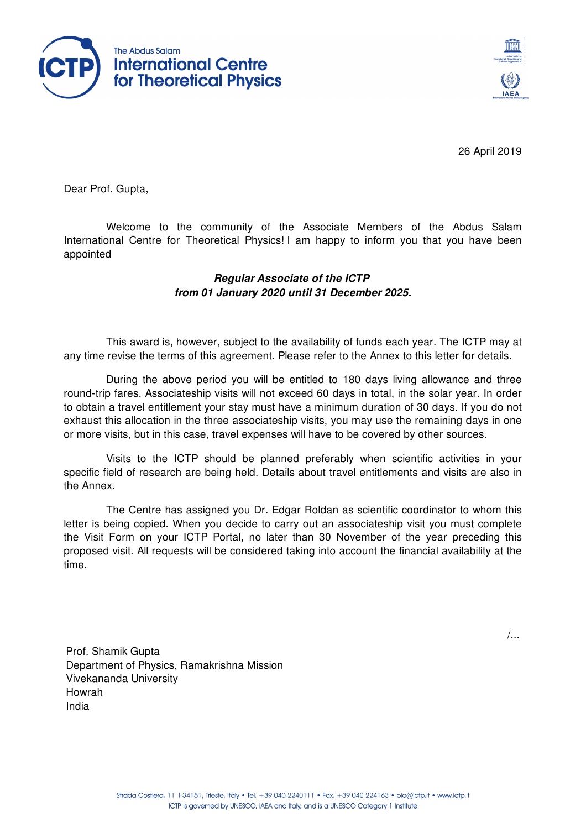



26 April 2019

Dear Prof. Gupta,

Welcome to the community of the Associate Members of the Abdus Salam International Centre for Theoretical Physics! I am happy to inform you that you have been appointed

## *Regular Associate of the ICTP from 01 January 2020 until 31 December 2025.*

This award is, however, subject to the availability of funds each year. The ICTP may at any time revise the terms of this agreement. Please refer to the Annex to this letter for details.

During the above period you will be entitled to 180 days living allowance and three round-trip fares. Associateship visits will not exceed 60 days in total, in the solar year. In order to obtain a travel entitlement your stay must have a minimum duration of 30 days. If you do not exhaust this allocation in the three associateship visits, you may use the remaining days in one or more visits, but in this case, travel expenses will have to be covered by other sources.

Visits to the ICTP should be planned preferably when scientific activities in your specific field of research are being held. Details about travel entitlements and visits are also in the Annex.

The Centre has assigned you Dr. Edgar Roldan as scientific coordinator to whom this letter is being copied. When you decide to carry out an associateship visit you must complete the Visit Form on your ICTP Portal, no later than 30 November of the year preceding this proposed visit. All requests will be considered taking into account the financial availability at the time.

/...

Prof. Shamik Gupta Department of Physics, Ramakrishna Mission Vivekananda University Howrah India